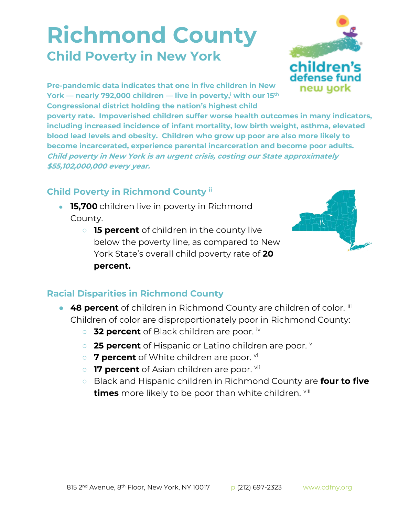## **Richmond County Child Poverty in New York**



**Pre-pandemic data indicates that one in five children in New York — nearly 792,000 children — live in poverty,<sup>i</sup> with our 15th Congressional district holding the nation's highest child** 

**poverty rate. Impoverished children suffer worse health outcomes in many indicators, including increased incidence of infant mortality, low birth weight, asthma, elevated blood lead levels and obesity. Children who grow up poor are also more likely to become incarcerated, experience parental incarceration and become poor adults. Child poverty in New York is an urgent crisis, costing our State approximately \$55,102,000,000 every year.**

## **Child Poverty in Richmond County ii**

- **15,700** children live in poverty in Richmond County.
	- **15 percent** of children in the county live below the poverty line, as compared to New York State's overall child poverty rate of **20 percent.**



## **Racial Disparities in Richmond County**

- **48 percent** of children in Richmond County are children of color. iii Children of color are disproportionately poor in Richmond County:
	- **32 percent** of Black children are poor. iv
	- **25 percent** of Hispanic or Latino children are poor. **v**
	- 7 **percent** of White children are poor. <sup>vi</sup>
	- **17 percent** of Asian children are poor. vii
	- Black and Hispanic children in Richmond County are **four to five times** more likely to be poor than white children. viii